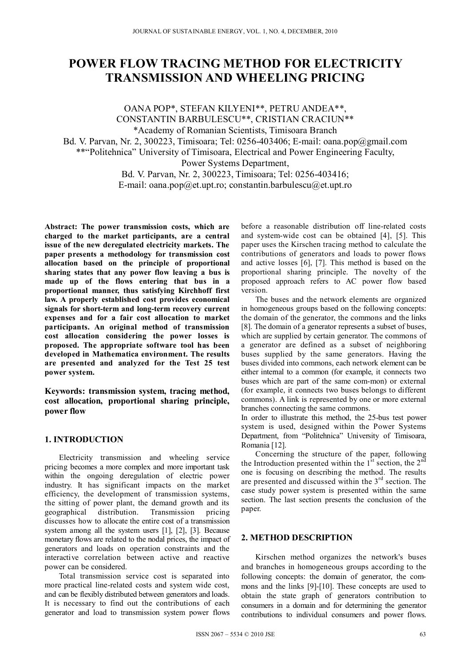# **POWER FLOW TRACING METHOD FOR ELECTRICITY TRANSMISSION AND WHEELING PRICING**

OANA POP\*, STEFAN KILYENI\*\*, PETRU ANDEA\*\*, CONSTANTIN BARBULESCU\*\*, CRISTIAN CRACIUN\*\* \*Academy of Romanian Scientists, Timisoara Branch Bd. V. Parvan, Nr. 2, 300223, Timisoara; Tel: 0256-403406; E-mail: oana.pop@gmail.com \*\*"Politehnica" University of Timisoara, Electrical and Power Engineering Faculty, Power Systems Department, Bd. V. Parvan, Nr. 2, 300223, Timisoara; Tel: 0256-403416; E-mail: oana.pop $@et.upt.ro$ ; constantin.barbulescu $@et.upt.ro$ 

**Abstract: The power transmission costs, which are charged to the market participants, are a central issue of the new deregulated electricity markets. The paper presents a methodology for transmission cost allocation based on the principle of proportional sharing states that any power flow leaving a bus is made up of the flows entering that bus in a proportional manner, thus satisfying Kirchhoff first law. A properly established cost provides economical signals for short-term and long-term recovery current expenses and for a fair cost allocation to market participants. An original method of transmission cost allocation considering the power losses is proposed. The appropriate software tool has been developed in Mathematica environment. The results are presented and analyzed for the Test 25 test power system.** 

**Keywords: transmission system, tracing method, cost allocation, proportional sharing principle, power flow** 

# **1. INTRODUCTION**

Electricity transmission and wheeling service pricing becomes a more complex and more important task within the ongoing deregulation of electric power industry. It has significant impacts on the market efficiency, the development of transmission systems, the sitting of power plant, the demand growth and its geographical distribution. Transmission pricing discusses how to allocate the entire cost of a transmission system among all the system users [1], [2], [3]. Because monetary flows are related to the nodal prices, the impact of generators and loads on operation constraints and the interactive correlation between active and reactive power can be considered.

Total transmission service cost is separated into more practical line-related costs and system wide cost, and can be flexibly distributed between generators and loads. It is necessary to find out the contributions of each generator and load to transmission system power flows

before a reasonable distribution off line-related costs and system-wide cost can be obtained [4], [5]. This paper uses the Kirschen tracing method to calculate the contributions of generators and loads to power flows and active losses [6], [7]. This method is based on the proportional sharing principle. The novelty of the proposed approach refers to AC power flow based version.

The buses and the network elements are organized in homogeneous groups based on the following concepts: the domain of the generator, the commons and the links [8]. The domain of a generator represents a subset of buses, which are supplied by certain generator. The commons of a generator are defined as a subset of neighboring buses supplied by the same generators. Having the buses divided into commons, each network element can be either internal to a common (for example, it connects two buses which are part of the same com-mon) or external (for example, it connects two buses belongs to different commons). A link is represented by one or more external branches connecting the same commons.

In order to illustrate this method, the 25-bus test power system is used, designed within the Power Systems Department, from "Politehnica" University of Timisoara, Romania [12].

Concerning the structure of the paper, following the Introduction presented within the  $1<sup>st</sup>$  section, the  $2<sup>nd</sup>$ one is focusing on describing the method. The results are presented and discussed within the 3rd section. The case study power system is presented within the same section. The last section presents the conclusion of the paper.

#### **2. METHOD DESCRIPTION**

Kirschen method organizes the network's buses and branches in homogeneous groups according to the following concepts: the domain of generator, the commons and the links [9]-[10]. These concepts are used to obtain the state graph of generators contribution to consumers in a domain and for determining the generator contributions to individual consumers and power flows.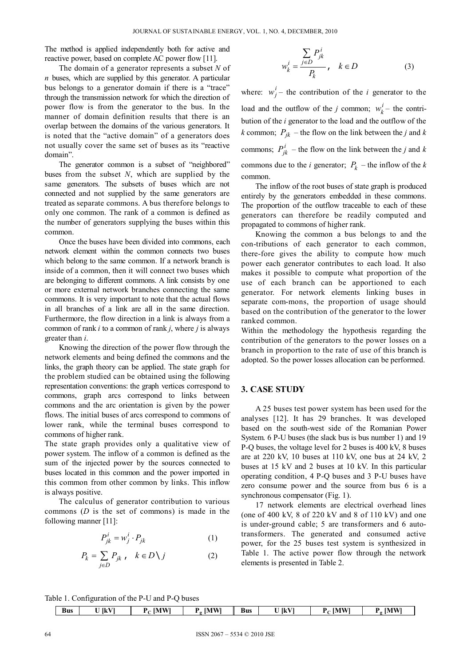The method is applied independently both for active and reactive power, based on complete AC power flow [11].

The domain of a generator represents a subset *N* of *n* buses, which are supplied by this generator. A particular bus belongs to a generator domain if there is a "trace" through the transmission network for which the direction of power flow is from the generator to the bus. In the manner of domain definition results that there is an overlap between the domains of the various generators. It is noted that the "active domain" of a generators does not usually cover the same set of buses as its "reactive domain".

The generator common is a subset of "neighbored" buses from the subset *N*, which are supplied by the same generators. The subsets of buses which are not connected and not supplied by the same generators are treated as separate commons. A bus therefore belongs to only one common. The rank of a common is defined as the number of generators supplying the buses within this common.

Once the buses have been divided into commons, each network element within the common connects two buses which belong to the same common. If a network branch is inside of a common, then it will connect two buses which are belonging to different commons. A link consists by one or more external network branches connecting the same commons. It is very important to note that the actual flows in all branches of a link are all in the same direction. Furthermore, the flow direction in a link is always from a common of rank *i* to a common of rank *j*, where *j* is always greater than *i*.

Knowing the direction of the power flow through the network elements and being defined the commons and the links, the graph theory can be applied. The state graph for the problem studied can be obtained using the following representation conventions: the graph vertices correspond to commons, graph arcs correspond to links between commons and the arc orientation is given by the power flows. The initial buses of arcs correspond to commons of lower rank, while the terminal buses correspond to commons of higher rank.

The state graph provides only a qualitative view of power system. The inflow of a common is defined as the sum of the injected power by the sources connected to buses located in this common and the power imported in this common from other common by links. This inflow is always positive.

The calculus of generator contribution to various commons (*D* is the set of commons) is made in the following manner [11]:

$$
P_{jk}^{i} = w_j^{i} \cdot P_{jk} \tag{1}
$$

$$
P_k = \sum_{j \in D} P_{jk} , \quad k \in D \setminus j \tag{2}
$$

$$
w_k^i = \frac{\sum_{j \in D} P_{jk}^i}{P_k}, \quad k \in D \tag{3}
$$

where:  $w_j^i$  – the contribution of the *i* generator to the load and the outflow of the *j* common;  $w_k^i$  – the contribution of the *i* generator to the load and the outflow of the *k* common;  $P_{ik}$  – the flow on the link between the *j* and *k* commons;  $P_{jk}^{i}$  – the flow on the link between the *j* and *k* commons due to the *i* generator;  $P_k$  – the inflow of the *k* common.

The inflow of the root buses of state graph is produced entirely by the generators embedded in these commons. The proportion of the outflow traceable to each of these generators can therefore be readily computed and propagated to commons of higher rank.

Knowing the common a bus belongs to and the con-tributions of each generator to each common, there-fore gives the ability to compute how much power each generator contributes to each load. It also makes it possible to compute what proportion of the use of each branch can be apportioned to each generator. For network elements linking buses in separate com-mons, the proportion of usage should based on the contribution of the generator to the lower ranked common.

Within the methodology the hypothesis regarding the contribution of the generators to the power losses on a branch in proportion to the rate of use of this branch is adopted. So the power losses allocation can be performed.

#### **3. CASE STUDY**

A 25 buses test power system has been used for the analyses [12]. It has 29 branches. It was developed based on the south-west side of the Romanian Power System. 6 P-U buses (the slack bus is bus number 1) and 19 P-Q buses, the voltage level for 2 buses is 400 kV, 8 buses are at 220 kV, 10 buses at 110 kV, one bus at 24 kV, 2 buses at 15 kV and 2 buses at 10 kV. In this particular operating condition, 4 P-Q buses and 3 P-U buses have zero consume power and the source from bus 6 is a synchronous compensator (Fig. 1).

17 network elements are electrical overhead lines (one of 400 kV,  $8$  of 220 kV and  $8$  of 110 kV) and one is under-ground cable; 5 are transformers and 6 autotransformers. The generated and consumed active power, for the 25 buses test system is synthesized in Table 1. The active power flow through the network elements is presented in Table 2.

Table 1. Configuration of the P-U and P-Q buses

| <b>Bus</b> | . <del>.</del> .<br>$\mathbf{I}$ $\mathbf{M}$<br>U IkVI<br>w<br>$\sim$ |  | <b>IMW</b><br>$\alpha$<br>- | -<br>Bus |  | <b>IMWI</b><br>-<br>- | <b>IMWI</b><br>n<br>- |
|------------|------------------------------------------------------------------------|--|-----------------------------|----------|--|-----------------------|-----------------------|
|            |                                                                        |  |                             |          |  |                       |                       |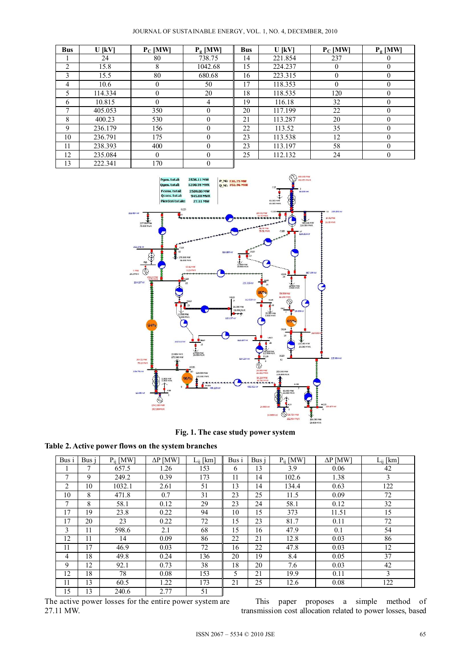| <b>Bus</b>     | U [kV]  | $P_C$ [MW] | $P_{\sigma}$ [MW] | <b>Bus</b> | U [kV]  | $P_C$ [MW] | $P_{\sigma}$ [MW] |
|----------------|---------|------------|-------------------|------------|---------|------------|-------------------|
|                | 24      | 80         | 738.75            | 14         | 221.854 | 237        | O                 |
| $\overline{2}$ | 15.8    | 8          | 1042.68           | 15         | 224.237 | $\theta$   | $\Omega$          |
| 3              | 15.5    | 80         | 680.68            | 16         | 223.315 | $\theta$   | $\theta$          |
| 4              | 10.6    | 0          | 50                | 17         | 118.353 | $\theta$   | $\theta$          |
| 5              | 114.334 | 0          | 20                | 18         | 118.535 | 120        | $\Omega$          |
| 6              | 10.815  | $\theta$   | $\overline{4}$    | 19         | 116.18  | 32         | $\theta$          |
| 7              | 405.053 | 350        | $\Omega$          | 20         | 117.199 | 22         | $\Omega$          |
| 8              | 400.23  | 530        | $\Omega$          | 21         | 113.287 | 20         | $\Omega$          |
| 9              | 236.179 | 156        | $\theta$          | 22         | 113.52  | 35         | $\theta$          |
| 10             | 236.791 | 175        | $\Omega$          | 23         | 113.538 | 12         | $\Omega$          |
| 11             | 238.393 | 400        | $\Omega$          | 23         | 113.197 | 58         | $\Omega$          |
| 12             | 235.084 | 0          | $\theta$          | 25         | 112.132 | 24         | $\mathbf{0}$      |
| 13             | 222.341 | 170        | $\theta$          |            |         |            |                   |



**Fig. 1. The case study power system** 

**Table 2. Active power flows on the system branches** 

| Bus i          | Bus i | $P_{ii}$ [MW] | $\Delta P$ [MW] | $L_{ii}$ [km] | Bus i | Bus j | $P_{ii}$ [MW] | $\Delta P$ [MW] | $L_{ii}$ [km] |
|----------------|-------|---------------|-----------------|---------------|-------|-------|---------------|-----------------|---------------|
|                |       | 657.5         | 1.26            | 153           | 6     | 13    | 3.9           | 0.06            | 42            |
| 7              | 9     | 249.2         | 0.39            | 173           | 11    | 14    | 102.6         | 1.38            | 3             |
| $\overline{c}$ | 10    | 1032.1        | 2.61            | 51            | 13    | 14    | 134.4         | 0.63            | 122           |
| 10             | 8     | 471.8         | 0.7             | 31            | 23    | 25    | 11.5          | 0.09            | 72            |
| 7              | 8     | 58.1          | 0.12            | 29            | 23    | 24    | 58.1          | 0.12            | 32            |
| 17             | 19    | 23.8          | 0.22            | 94            | 10    | 15    | 373           | 11.51           | 15            |
| 17             | 20    | 23            | 0.22            | 72            | 15    | 23    | 81.7          | 0.11            | 72            |
| 3              | 11    | 598.6         | 2.1             | 68            | 15    | 16    | 47.9          | 0.1             | 54            |
| 12             | 11    | 14            | 0.09            | 86            | 22    | 21    | 12.8          | 0.03            | 86            |
| 11             | 17    | 46.9          | 0.03            | 72            | 16    | 22    | 47.8          | 0.03            | 12            |
| 4              | 18    | 49.8          | 0.24            | 136           | 20    | 19    | 8.4           | 0.05            | 37            |
| 9              | 12    | 92.1          | 0.73            | 38            | 18    | 20    | 7.6           | 0.03            | 42            |
| 12             | 18    | 78            | 0.08            | 153           | 5     | 21    | 19.9          | 0.11            | 3             |
| 11             | 13    | 60.5          | 1.22            | 173           | 21    | 25    | 12.6          | 0.08            | 122           |
| 15             | 13    | 240.6         | 2.77            | 51            |       |       |               |                 |               |

The active power losses for the entire power system are 27.11 MW.

This paper proposes a simple method of transmission cost allocation related to power losses, based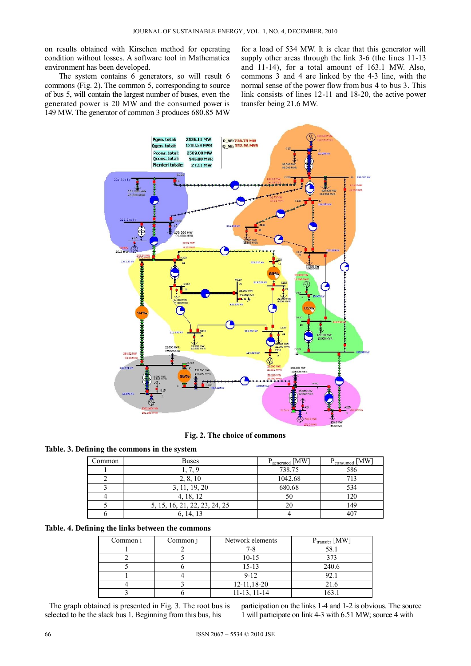on results obtained with Kirschen method for operating condition without losses. A software tool in Mathematica environment has been developed.

The system contains 6 generators, so will result 6 commons (Fig. 2). The common 5, corresponding to source of bus 5, will contain the largest number of buses, even the generated power is 20 MW and the consumed power is 149 MW. The generator of common 3 produces 680.85 MW

for a load of 534 MW. It is clear that this generator will supply other areas through the link 3-6 (the lines 11-13) and 11-14), for a total amount of 163.1 MW. Also, commons 3 and 4 are linked by the 4-3 line, with the normal sense of the power flow from bus 4 to bus 3. This link consists of lines 12-11 and 18-20, the active power transfer being 21.6 MW.



**Fig. 2. The choice of commons** 

## **Table. 3. Defining the commons in the system**

| Common | <b>Buses</b>                  | $P_{\text{generated}}$ [MW] | $P_{\text{consumed}}$ [MW <sub>1</sub> |  |  |
|--------|-------------------------------|-----------------------------|----------------------------------------|--|--|
|        | l. 7.9                        | 738.75                      | 586                                    |  |  |
|        | 2, 8, 10                      | 1042.68                     |                                        |  |  |
|        | 3, 11, 19, 20                 | 680.68                      | 534                                    |  |  |
|        | 4, 18, 12                     |                             | 120                                    |  |  |
|        | 5, 15, 16, 21, 22, 23, 24, 25 |                             | 149                                    |  |  |
|        | 6, 14, 13                     |                             |                                        |  |  |

#### **Table. 4. Defining the links between the commons**

| Common i | Common j | Network elements  | $P_{transfer}$ [MW] |
|----------|----------|-------------------|---------------------|
|          |          |                   | 58.1                |
|          |          | $10 - 15$         | 373                 |
|          |          | $15 - 13$         | 240.6               |
|          |          | $9 - 12$          | 92.1                |
|          |          | $12 - 11,18 - 20$ | 21.6                |
|          |          | $11-13$ , $11-14$ | 163.                |

The graph obtained is presented in Fig. 3. The root bus is selected to be the slack bus 1. Beginning from this bus, his

participation on the links 1-4 and 1-2 is obvious. The source 1 will participate on link 4-3 with 6.51 MW; source 4 with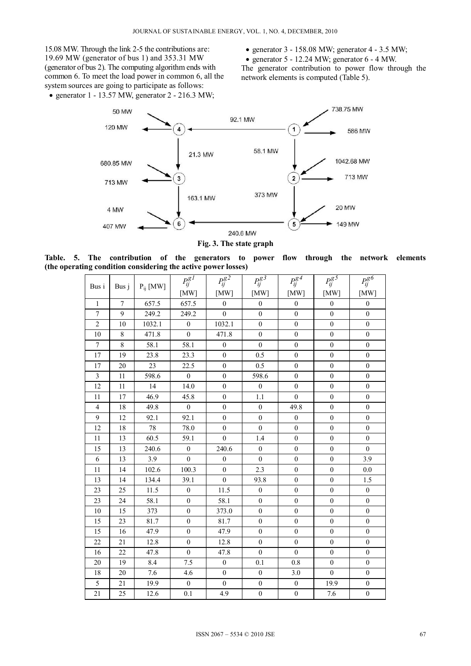15.08 MW. Through the link 2-5 the contributions are: 19.69 MW (generator of bus 1) and 353.31 MW (generator of bus 2). The computing algorithm ends with common 6. To meet the load power in common 6, all the system sources are going to participate as follows:

- generator  $1 13.57$  MW, generator  $2 216.3$  MW;
- generator  $3 158.08$  MW; generator  $4 3.5$  MW;

• generator  $5 - 12.24$  MW; generator  $6 - 4$  MW.

The generator contribution to power flow through the network elements is computed (Table 5).



**Fig. 3. The state graph** 

**Table. 5. The contribution of the generators to power flow through the network elements (the operating condition considering the active power losses)** 

| Bus i          | Bus j          | $P_{ij}$ [MW] | $P_{ij}^{gI}$    | $P_{ij}^{g2}$    | $P_{ij}^{g3}$    | $P_{ij}^{g4}$    | $P_{ij}^{g5}$    | $P_{ij}^{g6}$    |
|----------------|----------------|---------------|------------------|------------------|------------------|------------------|------------------|------------------|
|                |                |               | [MW]             | [MW]             | [MW]             | [MW]             | [MW]             | [MW]             |
| $\mathbf{1}$   | $\overline{7}$ | 657.5         | 657.5            | $\boldsymbol{0}$ | $\boldsymbol{0}$ | $\boldsymbol{0}$ | $\boldsymbol{0}$ | $\boldsymbol{0}$ |
| $\tau$         | 9              | 249.2         | 249.2            | $\boldsymbol{0}$ | $\boldsymbol{0}$ | $\boldsymbol{0}$ | $\boldsymbol{0}$ | $\boldsymbol{0}$ |
| $\overline{c}$ | 10             | 1032.1        | $\boldsymbol{0}$ | 1032.1           | $\mathbf{0}$     | $\boldsymbol{0}$ | $\boldsymbol{0}$ | $\boldsymbol{0}$ |
| 10             | 8              | 471.8         | $\boldsymbol{0}$ | 471.8            | $\boldsymbol{0}$ | $\boldsymbol{0}$ | $\boldsymbol{0}$ | $\boldsymbol{0}$ |
| $\tau$         | $\,8\,$        | 58.1          | 58.1             | $\boldsymbol{0}$ | $\mathbf{0}$     | $\boldsymbol{0}$ | $\boldsymbol{0}$ | $\boldsymbol{0}$ |
| 17             | 19             | 23.8          | 23.3             | $\theta$         | 0.5              | $\theta$         | $\theta$         | $\boldsymbol{0}$ |
| 17             | 20             | 23            | 22.5             | $\mathbf{0}$     | 0.5              | $\boldsymbol{0}$ | $\boldsymbol{0}$ | $\boldsymbol{0}$ |
| $\mathfrak{Z}$ | 11             | 598.6         | $\mathbf{0}$     | $\mathbf{0}$     | 598.6            | $\mathbf{0}$     | $\mathbf{0}$     | $\boldsymbol{0}$ |
| 12             | 11             | 14            | 14.0             | $\mathbf{0}$     | $\boldsymbol{0}$ | $\mathbf{0}$     | $\boldsymbol{0}$ | $\boldsymbol{0}$ |
| 11             | 17             | 46.9          | 45.8             | $\mathbf{0}$     | 1.1              | $\mathbf{0}$     | $\boldsymbol{0}$ | $\boldsymbol{0}$ |
| $\overline{4}$ | 18             | 49.8          | $\boldsymbol{0}$ | $\boldsymbol{0}$ | $\boldsymbol{0}$ | 49.8             | $\mathbf{0}$     | $\mathbf{0}$     |
| 9              | 12             | 92.1          | 92.1             | $\boldsymbol{0}$ | $\boldsymbol{0}$ | $\mathbf{0}$     | $\boldsymbol{0}$ | $\boldsymbol{0}$ |
| 12             | 18             | 78            | 78.0             | $\boldsymbol{0}$ | $\boldsymbol{0}$ | $\boldsymbol{0}$ | $\boldsymbol{0}$ | $\boldsymbol{0}$ |
| 11             | 13             | 60.5          | 59.1             | $\mathbf{0}$     | 1.4              | $\mathbf{0}$     | $\mathbf{0}$     | $\mathbf{0}$     |
| 15             | 13             | 240.6         | $\boldsymbol{0}$ | 240.6            | $\boldsymbol{0}$ | $\boldsymbol{0}$ | $\boldsymbol{0}$ | $\boldsymbol{0}$ |
| 6              | 13             | 3.9           | $\boldsymbol{0}$ | $\boldsymbol{0}$ | $\boldsymbol{0}$ | $\boldsymbol{0}$ | $\boldsymbol{0}$ | 3.9              |
| 11             | 14             | 102.6         | 100.3            | $\boldsymbol{0}$ | 2.3              | $\boldsymbol{0}$ | $\boldsymbol{0}$ | 0.0              |
| 13             | 14             | 134.4         | 39.1             | $\mathbf{0}$     | 93.8             | $\mathbf{0}$     | $\mathbf{0}$     | 1.5              |
| 23             | 25             | 11.5          | $\boldsymbol{0}$ | 11.5             | $\boldsymbol{0}$ | $\mathbf{0}$     | $\mathbf{0}$     | $\boldsymbol{0}$ |
| 23             | 24             | 58.1          | $\boldsymbol{0}$ | 58.1             | $\boldsymbol{0}$ | $\boldsymbol{0}$ | $\boldsymbol{0}$ | $\boldsymbol{0}$ |
| 10             | 15             | 373           | $\boldsymbol{0}$ | 373.0            | $\mathbf{0}$     | $\mathbf{0}$     | $\boldsymbol{0}$ | $\boldsymbol{0}$ |
| 15             | 23             | 81.7          | $\boldsymbol{0}$ | 81.7             | $\mathbf{0}$     | $\theta$         | $\mathbf{0}$     | $\mathbf{0}$     |
| 15             | 16             | 47.9          | $\boldsymbol{0}$ | 47.9             | $\boldsymbol{0}$ | $\boldsymbol{0}$ | $\boldsymbol{0}$ | $\boldsymbol{0}$ |
| 22             | 21             | 12.8          | $\boldsymbol{0}$ | 12.8             | $\boldsymbol{0}$ | $\boldsymbol{0}$ | $\boldsymbol{0}$ | $\boldsymbol{0}$ |
| 16             | 22             | 47.8          | $\boldsymbol{0}$ | 47.8             | $\boldsymbol{0}$ | $\boldsymbol{0}$ | $\boldsymbol{0}$ | $\boldsymbol{0}$ |
| 20             | 19             | 8.4           | 7.5              | $\mathbf{0}$     | 0.1              | 0.8              | $\boldsymbol{0}$ | $\boldsymbol{0}$ |
| 18             | 20             | 7.6           | 4.6              | $\boldsymbol{0}$ | $\boldsymbol{0}$ | 3.0              | $\mathbf{0}$     | $\mathbf{0}$     |
| 5              | 21             | 19.9          | $\boldsymbol{0}$ | $\boldsymbol{0}$ | $\boldsymbol{0}$ | $\boldsymbol{0}$ | 19.9             | $\boldsymbol{0}$ |
| 21             | 25             | 12.6          | 0.1              | 4.9              | $\boldsymbol{0}$ | $\boldsymbol{0}$ | 7.6              | $\boldsymbol{0}$ |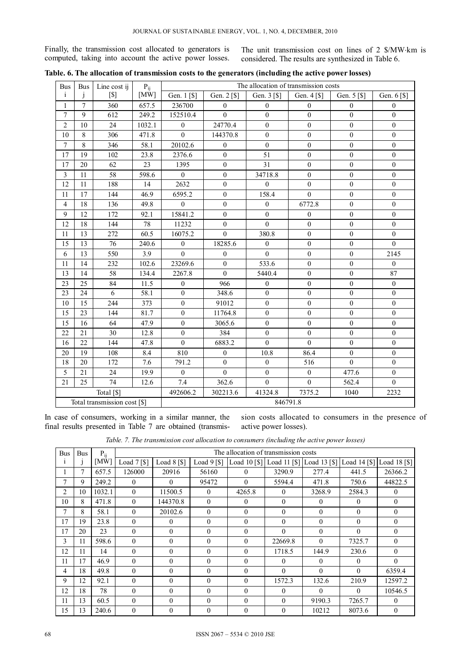Finally, the transmission cost allocated to generators is computed, taking into account the active power losses. The unit transmission cost on lines of 2 \$/MW·km is considered. The results are synthesized in Table 6.

| <b>Bus</b>            | <b>Bus</b>   | Line cost ij                 | $P_{ij}$ |                        |                        |                  | The allocation of transmission costs  |                  |                  |
|-----------------------|--------------|------------------------------|----------|------------------------|------------------------|------------------|---------------------------------------|------------------|------------------|
| i                     | $\mathbf{I}$ | $\lceil $ \rceil$            | [MW]     | Gen. 1 <sup>[\$]</sup> | Gen. 2 <sup>[\$]</sup> | Gen. 3 [\$]      | Gen. $4 \, \lceil \frac{5}{3} \rceil$ | Gen. 5 [\$]      | Gen. 6 [\$]      |
| $\mathbf{1}$          | $\tau$       | 360                          | 657.5    | 236700                 | $\theta$               | $\mathbf{0}$     | $\theta$                              | $\mathbf{0}$     | $\mathbf{0}$     |
| $\overline{7}$        | 9            | 612                          | 249.2    | 152510.4               | $\Omega$               | $\mathbf{0}$     | $\theta$                              | $\mathbf{0}$     | $\mathbf{0}$     |
| $\overline{2}$        | 10           | 24                           | 1032.1   | $\theta$               | 24770.4                | $\boldsymbol{0}$ | $\boldsymbol{0}$                      | $\mathbf{0}$     | $\boldsymbol{0}$ |
| 10                    | 8            | 306                          | 471.8    | $\Omega$               | 144370.8               | $\boldsymbol{0}$ | $\mathbf{0}$                          | $\mathbf{0}$     | $\mathbf{0}$     |
| $\boldsymbol{7}$      | $8\,$        | 346                          | 58.1     | 20102.6                | $\boldsymbol{0}$       | $\boldsymbol{0}$ | $\boldsymbol{0}$                      | $\boldsymbol{0}$ | $\boldsymbol{0}$ |
| 17                    | 19           | 102                          | 23.8     | 2376.6                 | $\mathbf{0}$           | 51               | $\mathbf{0}$                          | $\mathbf{0}$     | $\mathbf{0}$     |
| 17                    | 20           | 62                           | 23       | 1395                   | $\boldsymbol{0}$       | 31               | $\boldsymbol{0}$                      | $\mathbf{0}$     | $\boldsymbol{0}$ |
| $\overline{3}$        | 11           | 58                           | 598.6    | $\overline{0}$         | $\boldsymbol{0}$       | 34718.8          | $\boldsymbol{0}$                      | $\boldsymbol{0}$ | $\boldsymbol{0}$ |
| 12                    | 11           | 188                          | 14       | 2632                   | $\boldsymbol{0}$       | $\boldsymbol{0}$ | $\boldsymbol{0}$                      | $\boldsymbol{0}$ | $\boldsymbol{0}$ |
| 11                    | 17           | 144                          | 46.9     | 6595.2                 | $\mathbf{0}$           | 158.4            | $\mathbf{0}$                          | $\mathbf{0}$     | $\mathbf{0}$     |
| $\overline{4}$        | 18           | 136                          | 49.8     | $\theta$               | $\theta$               | $\boldsymbol{0}$ | 6772.8                                | $\mathbf{0}$     | $\boldsymbol{0}$ |
| 9                     | 12           | 172                          | 92.1     | 15841.2                | $\boldsymbol{0}$       | $\boldsymbol{0}$ | $\boldsymbol{0}$                      | $\boldsymbol{0}$ | $\boldsymbol{0}$ |
| 12                    | 18           | 144                          | 78       | 11232                  | $\mathbf{0}$           | $\overline{0}$   | $\overline{0}$                        | $\mathbf{0}$     | $\mathbf{0}$     |
| 11                    | 13           | 272                          | 60.5     | 16075.2                | $\theta$               | 380.8            | $\boldsymbol{0}$                      | $\boldsymbol{0}$ | $\boldsymbol{0}$ |
| 15                    | 13           | 76                           | 240.6    | $\theta$               | 18285.6                | $\theta$         | $\mathbf{0}$                          | $\theta$         | $\theta$         |
| 6                     | 13           | 550                          | 3.9      | $\theta$               | $\mathbf{0}$           | $\Omega$         | $\mathbf{0}$                          | $\mathbf{0}$     | 2145             |
| 11                    | 14           | 232                          | 102.6    | 23269.6                | $\overline{0}$         | 533.6            | $\boldsymbol{0}$                      | $\mathbf{0}$     | $\overline{0}$   |
| 13                    | 14           | 58                           | 134.4    | 2267.8                 | $\theta$               | 5440.4           | $\boldsymbol{0}$                      | $\boldsymbol{0}$ | 87               |
| 23                    | 25           | 84                           | 11.5     | $\theta$               | 966                    | $\boldsymbol{0}$ | $\boldsymbol{0}$                      | $\mathbf{0}$     | $\boldsymbol{0}$ |
| 23                    | 24           | 6                            | 58.1     | $\theta$               | 348.6                  | $\theta$         | $\theta$                              | $\mathbf{0}$     | $\overline{0}$   |
| 10                    | 15           | 244                          | 373      | $\boldsymbol{0}$       | 91012                  | $\boldsymbol{0}$ | $\mathbf{0}$                          | $\mathbf{0}$     | $\mathbf{0}$     |
| 15                    | 23           | 144                          | 81.7     | $\mathbf{0}$           | 11764.8                | $\mathbf{0}$     | $\theta$                              | $\mathbf{0}$     | $\mathbf{0}$     |
| 15                    | 16           | 64                           | 47.9     | $\theta$               | 3065.6                 | $\overline{0}$   | $\mathbf{0}$                          | $\mathbf{0}$     | $\mathbf{0}$     |
| 22                    | 21           | 30                           | 12.8     | $\theta$               | 384                    | $\boldsymbol{0}$ | $\theta$                              | $\mathbf{0}$     | $\mathbf{0}$     |
| 16                    | 22           | 144                          | 47.8     | $\theta$               | 6883.2                 | $\theta$         | $\theta$                              | $\mathbf{0}$     | $\mathbf{0}$     |
| 20                    | 19           | 108                          | 8.4      | 810                    | $\boldsymbol{0}$       | 10.8             | 86.4                                  | $\boldsymbol{0}$ | $\boldsymbol{0}$ |
| 18                    | 20           | 172                          | 7.6      | 791.2                  | $\theta$               | $\mathbf{0}$     | 516                                   | $\theta$         | $\mathbf{0}$     |
| 5                     | 21           | 24                           | 19.9     | $\boldsymbol{0}$       | $\theta$               | $\boldsymbol{0}$ | $\boldsymbol{0}$                      | 477.6            | $\boldsymbol{0}$ |
| 21                    | 25           | $\overline{74}$              | 12.6     | 7.4                    | 362.6                  | $\mathbf{0}$     | $\mathbf{0}$                          | 562.4            | $\overline{0}$   |
| Total <sup>[\$]</sup> |              |                              |          | 492606.2               | 302213.6               | 41324.8          | 7375.2                                | 1040             | 2232             |
|                       |              | Total transmission cost [\$] |          |                        |                        |                  | 846791.8                              |                  |                  |

**Table. 6. The allocation of transmission costs to the generators (including the active power losses)** 

In case of consumers, working in a similar manner, the final results presented in Table 7 are obtained (transmis-

sion costs allocated to consumers in the presence of active power losses).

|  |  |  |  |  | Table. 7. The transmission cost allocation to consumers (including the active power losses) |  |
|--|--|--|--|--|---------------------------------------------------------------------------------------------|--|
|--|--|--|--|--|---------------------------------------------------------------------------------------------|--|

| <b>Bus</b>     | <b>Bus</b> | $P_{ij}$ |                 |                |                 | The allocation of transmission costs |                                        |          |                |              |
|----------------|------------|----------|-----------------|----------------|-----------------|--------------------------------------|----------------------------------------|----------|----------------|--------------|
|                |            | [MW]     | Load $7 [$ [\$] | Load $8 [$]$   | Load $9 [$ [\$] |                                      | Load 10 [\$] Load 11 [\$] Load 13 [\$] |          | Load $14$ [\$] | Load 18 [\$] |
|                |            | 657.5    | 126000          | 20916          | 56160           | $\theta$                             | 3290.9                                 | 277.4    | 441.5          | 26366.2      |
| 7              | 9          | 249.2    | $\theta$        | $\left($       | 95472           | $\theta$                             | 5594.4                                 | 471.8    | 750.6          | 44822.5      |
| 2              | 10         | 1032.1   | $\theta$        | 11500.5        | $\theta$        | 4265.8                               | $\theta$                               | 3268.9   | 2584.3         | $\theta$     |
| 10             | 8          | 471.8    | $\theta$        | 144370.8       | $\theta$        | $\theta$                             | $\theta$                               | $\theta$ | $\Omega$       | $\theta$     |
| 7              | 8          | 58.1     | $\theta$        | 20102.6        | $\theta$        | $\theta$                             | $\theta$                               | $\theta$ | $\theta$       | $\theta$     |
| 17             | 19         | 23.8     | $\theta$        | $\overline{0}$ | $\Omega$        | $\mathbf{0}$                         | $\theta$                               | $\Omega$ | $\theta$       | $\Omega$     |
| 17             | 20         | 23       | $\Omega$        | $\theta$       | $\Omega$        | $\theta$                             | $\theta$                               | $\theta$ | $\Omega$       | $\Omega$     |
| 3              | 11         | 598.6    | $\theta$        | $\theta$       | $\theta$        | $\theta$                             | 22669.8                                | $\theta$ | 7325.7         | $\Omega$     |
| 12             | 11         | 14       | $\theta$        | $\Omega$       | $\Omega$        | $\theta$                             | 1718.5                                 | 144.9    | 230.6          | $\Omega$     |
| 11             | 17         | 46.9     | $\Omega$        | $\theta$       | $\theta$        | $\theta$                             | $\theta$                               | $\theta$ | $\theta$       | $\Omega$     |
| $\overline{4}$ | 18         | 49.8     | $\Omega$        | $\theta$       | $\Omega$        | $\theta$                             | $\theta$                               | $\theta$ | $\theta$       | 6359.4       |
| 9              | 12         | 92.1     | $\Omega$        | $\theta$       | $\theta$        | $\theta$                             | 1572.3                                 | 132.6    | 210.9          | 12597.2      |
| 12             | 18         | 78       | $\theta$        | $\Omega$       | $\Omega$        | $\theta$                             | $\Omega$                               | $\Omega$ | $\Omega$       | 10546.5      |
| 11             | 13         | 60.5     | $\Omega$        | $\Omega$       | $\Omega$        | $\Omega$                             | $\Omega$                               | 9190.3   | 7265.7         | $\Omega$     |
| 15             | 13         | 240.6    | $\mathbf{0}$    | $\theta$       | $\Omega$        | $\theta$                             | $\theta$                               | 10212    | 8073.6         | $\Omega$     |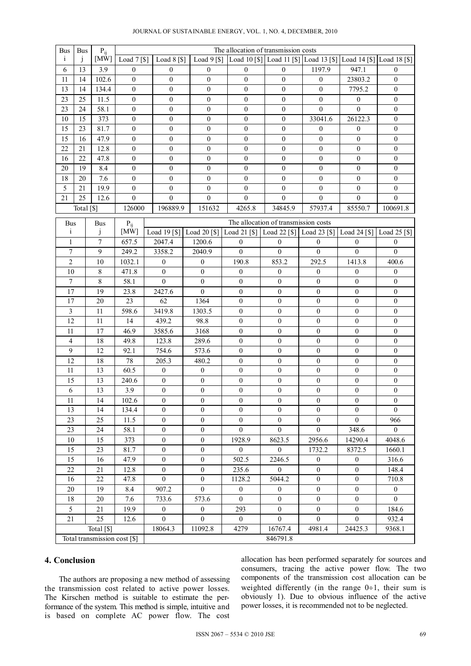| <b>Bus</b>                 | <b>Bus</b>   | $P_{ij}$                     |                  | The allocation of transmission costs |                                                                                                                     |                                      |                                      |                                      |                                      |                                    |
|----------------------------|--------------|------------------------------|------------------|--------------------------------------|---------------------------------------------------------------------------------------------------------------------|--------------------------------------|--------------------------------------|--------------------------------------|--------------------------------------|------------------------------------|
| i                          | $\mathbf{1}$ | [MW]                         |                  |                                      | [Coad 7 [\$]   Load 8 [\$]   Load 9 [\$]   Load 10 [\$]   Load 11 [\$]   Load 13 [\$]   Load 14 [\$]   Load 18 [\$] |                                      |                                      |                                      |                                      |                                    |
| 6                          | 13           | 3.9                          | $\overline{0}$   | $\overline{0}$                       | $\overline{0}$                                                                                                      | $\mathbf{0}$                         | $\mathbf{0}$                         | 1197.9                               | 947.1                                | $\mathbf{0}$                       |
| $11\,$                     | 14           | 102.6                        | $\mathbf{0}$     | 0                                    | $\boldsymbol{0}$                                                                                                    | $\boldsymbol{0}$                     | $\boldsymbol{0}$                     | $\boldsymbol{0}$                     | 23803.2                              | $\mathbf{0}$                       |
| 13                         | 14           | 134.4                        | $\boldsymbol{0}$ | 0                                    | $\boldsymbol{0}$                                                                                                    | $\boldsymbol{0}$                     | $\boldsymbol{0}$                     | $\mathbf{0}$                         | 7795.2                               | $\mathbf{0}$                       |
| 23                         | 25           | 11.5                         | $\mathbf{0}$     | 0                                    | $\boldsymbol{0}$                                                                                                    | $\boldsymbol{0}$                     | $\mathbf{0}$                         | $\boldsymbol{0}$                     | $\overline{0}$                       | $\mathbf{0}$                       |
| 23                         | 24           | 58.1                         | $\boldsymbol{0}$ | 0                                    | $\boldsymbol{0}$                                                                                                    | $\boldsymbol{0}$                     | $\boldsymbol{0}$                     | $\mathbf{0}$                         | $\overline{0}$                       | $\boldsymbol{0}$                   |
| 10                         | 15           | 373                          | $\boldsymbol{0}$ | $\boldsymbol{0}$                     | $\boldsymbol{0}$                                                                                                    | $\boldsymbol{0}$                     | $\boldsymbol{0}$                     | 33041.6                              | 26122.3                              | $\overline{0}$                     |
| 15                         | 23           | 81.7                         | $\boldsymbol{0}$ | 0                                    | $\boldsymbol{0}$                                                                                                    | $\boldsymbol{0}$                     | $\boldsymbol{0}$                     | $\boldsymbol{0}$                     | $\boldsymbol{0}$                     | $\boldsymbol{0}$                   |
| 15                         | 16           | 47.9                         | $\boldsymbol{0}$ | $\boldsymbol{0}$                     | $\boldsymbol{0}$                                                                                                    | $\boldsymbol{0}$                     | $\boldsymbol{0}$                     | $\boldsymbol{0}$                     | $\boldsymbol{0}$                     | $\boldsymbol{0}$                   |
| 22                         | 21           | 12.8                         | $\boldsymbol{0}$ | 0                                    | $\boldsymbol{0}$                                                                                                    | $\boldsymbol{0}$                     | $\boldsymbol{0}$                     | $\boldsymbol{0}$                     | $\boldsymbol{0}$                     | $\boldsymbol{0}$                   |
| 16                         | 22           | 47.8                         | $\boldsymbol{0}$ | 0                                    | $\boldsymbol{0}$                                                                                                    | $\boldsymbol{0}$                     | $\mathbf{0}$                         | $\overline{0}$                       | $\mathbf{0}$                         | $\boldsymbol{0}$                   |
| $20\,$                     | 19           | 8.4                          | $\boldsymbol{0}$ | $\boldsymbol{0}$                     | $\boldsymbol{0}$                                                                                                    | $\boldsymbol{0}$                     | $\boldsymbol{0}$                     | $\boldsymbol{0}$                     | $\boldsymbol{0}$                     | $\boldsymbol{0}$                   |
| 18                         | 20           | 7.6                          | $\boldsymbol{0}$ | $\boldsymbol{0}$                     | $\boldsymbol{0}$                                                                                                    | $\boldsymbol{0}$                     | $\boldsymbol{0}$                     | $\boldsymbol{0}$                     | $\boldsymbol{0}$                     | $\boldsymbol{0}$                   |
| 5                          | 21           | 19.9                         | $\mathbf{0}$     | $\overline{0}$                       | $\boldsymbol{0}$                                                                                                    | $\mathbf{0}$                         | $\mathbf{0}$                         | $\mathbf{0}$                         | $\overline{0}$                       | $\mathbf{0}$                       |
| 21                         | 25           | 12.6                         | $\boldsymbol{0}$ | $\overline{0}$                       | $\overline{0}$                                                                                                      | $\overline{0}$                       | $\mathbf{0}$                         | $\overline{0}$                       | $\overline{0}$                       | $\overline{0}$                     |
|                            | Total [\$]   |                              | 126000           | 196889.9                             | 151632                                                                                                              | 4265.8                               | 34845.9                              | 57937.4                              | 85550.7                              | 100691.8                           |
|                            |              |                              |                  |                                      |                                                                                                                     |                                      |                                      |                                      |                                      |                                    |
| <b>Bus</b><br>$\mathbf{i}$ |              | <b>Bus</b><br>j              | $P_{ij}$<br>[MW] |                                      | Load 19 [\$]   Load 20 [\$]   Load 21 [\$]   Load 22 [\$]   Load 23 [\$]   Load 24 [\$]   Load 25 [\$]              |                                      | The allocation of transmission costs |                                      |                                      |                                    |
| $\mathbf{1}$               |              | $\overline{7}$               | 657.5            |                                      |                                                                                                                     |                                      |                                      |                                      |                                      |                                    |
| $\tau$                     |              | 9                            | 249.2            | 2047.4<br>3358.2                     | 1200.6<br>2040.9                                                                                                    | $\mathbf{0}$<br>$\theta$             | $\overline{0}$<br>$\theta$           | $\theta$<br>$\theta$                 | $\overline{0}$<br>$\boldsymbol{0}$   | $\overline{0}$<br>$\boldsymbol{0}$ |
| $\overline{c}$             |              |                              |                  |                                      |                                                                                                                     |                                      |                                      |                                      |                                      |                                    |
|                            |              | 10                           | 1032.1           | $\boldsymbol{0}$                     | $\boldsymbol{0}$                                                                                                    | 190.8                                | 853.2                                | 292.5                                | 1413.8                               | 400.6                              |
| $10\,$<br>$\boldsymbol{7}$ |              | 8<br>8                       | 471.8<br>58.1    | $\mathbf{0}$<br>$\boldsymbol{0}$     | $\boldsymbol{0}$                                                                                                    | $\boldsymbol{0}$                     | $\bf{0}$                             | $\bf{0}$                             | $\boldsymbol{0}$                     | $\boldsymbol{0}$                   |
|                            |              |                              |                  |                                      | $\boldsymbol{0}$                                                                                                    | $\boldsymbol{0}$                     | $\boldsymbol{0}$                     | $\boldsymbol{0}$                     | $\bf{0}$                             | $\boldsymbol{0}$                   |
| 17                         |              | 19                           | 23.8             | 2427.6                               | $\mathbf{0}$                                                                                                        | $\boldsymbol{0}$                     | $\bf{0}$                             | $\boldsymbol{0}$                     | $\bf{0}$                             | $\mathbf{0}$                       |
| 17                         |              | 20                           | 23               | 62                                   | 1364                                                                                                                | $\boldsymbol{0}$                     | $\boldsymbol{0}$                     | $\boldsymbol{0}$                     | $\boldsymbol{0}$                     | $\boldsymbol{0}$                   |
| $\mathfrak{Z}$             |              | 11                           | 598.6            | 3419.8                               | 1303.5                                                                                                              | $\boldsymbol{0}$                     | $\bf{0}$                             | $\boldsymbol{0}$                     | $\bf{0}$                             | $\boldsymbol{0}$                   |
| 12<br>11                   |              | 11<br>17                     | 14<br>46.9       | 439.2                                | 98.8                                                                                                                | $\mathbf{0}$<br>$\boldsymbol{0}$     | $\mathbf{0}$<br>$\boldsymbol{0}$     | $\mathbf{0}$<br>$\boldsymbol{0}$     | $\mathbf{0}$<br>$\boldsymbol{0}$     | $\mathbf{0}$<br>$\boldsymbol{0}$   |
| $\overline{4}$             |              | 18                           | 49.8             | 3585.6<br>123.8                      | 3168<br>289.6                                                                                                       | $\mathbf{0}$                         | $\boldsymbol{0}$                     | $\boldsymbol{0}$                     | $\boldsymbol{0}$                     | $\boldsymbol{0}$                   |
| 9                          |              | 12                           | 92.1             | 754.6                                |                                                                                                                     | $\mathbf{0}$                         | $\mathbf{0}$                         | $\mathbf{0}$                         | $\mathbf{0}$                         | $\mathbf{0}$                       |
| 12                         |              | 18                           | 78               | 205.3                                | 573.6                                                                                                               | $\boldsymbol{0}$                     | $\boldsymbol{0}$                     | $\mathbf{0}$                         | $\boldsymbol{0}$                     | $\boldsymbol{0}$                   |
| 11                         |              | 13                           | 60.5             | $\boldsymbol{0}$                     | 480.2<br>$\boldsymbol{0}$                                                                                           | $\boldsymbol{0}$                     | $\boldsymbol{0}$                     | $\boldsymbol{0}$                     | $\boldsymbol{0}$                     | $\boldsymbol{0}$                   |
|                            |              |                              |                  |                                      |                                                                                                                     |                                      |                                      |                                      |                                      |                                    |
| 15<br>$\sqrt{6}$           |              | 13<br>13                     | 240.6<br>3.9     | $\boldsymbol{0}$<br>$\boldsymbol{0}$ | $\boldsymbol{0}$<br>$\boldsymbol{0}$                                                                                | $\boldsymbol{0}$<br>$\boldsymbol{0}$ | $\boldsymbol{0}$<br>$\boldsymbol{0}$ | $\boldsymbol{0}$<br>$\boldsymbol{0}$ | $\boldsymbol{0}$<br>$\boldsymbol{0}$ | $\boldsymbol{0}$                   |
|                            |              |                              |                  |                                      |                                                                                                                     |                                      |                                      |                                      |                                      | $\boldsymbol{0}$                   |
| 11<br>13                   |              | 14<br>14                     | 102.6<br>134.4   | $\bf{0}$<br>$\mathbf{0}$             | $\boldsymbol{0}$<br>$\boldsymbol{0}$                                                                                | $\boldsymbol{0}$<br>$\boldsymbol{0}$ | $\boldsymbol{0}$<br>$\mathbf{0}$     | $\bf{0}$<br>$\boldsymbol{0}$         | $\boldsymbol{0}$<br>$\boldsymbol{0}$ | $\bf{0}$<br>$\theta$               |
| 23                         |              | 25                           | 11.5             | $\boldsymbol{0}$                     | $\boldsymbol{0}$                                                                                                    | $\boldsymbol{0}$                     | $\bf{0}$                             | $\mathbf{0}$                         | $\mathbf{0}$                         | 966                                |
| 23                         |              | 24                           | 58.1             | $\boldsymbol{0}$                     | $\boldsymbol{0}$                                                                                                    | $\boldsymbol{0}$                     | $\boldsymbol{0}$                     | $\boldsymbol{0}$                     | 348.6                                | $\boldsymbol{0}$                   |
| $10\,$                     |              | 15                           | 373              | $\boldsymbol{0}$                     | $\boldsymbol{0}$                                                                                                    | 1928.9                               | 8623.5                               | 2956.6                               | 14290.4                              | 4048.6                             |
| 15                         |              | 23                           | 81.7             | $\mathbf{0}$                         | $\boldsymbol{0}$                                                                                                    | $\overline{0}$                       | $\mathbf{0}$                         | 1732.2                               | 8372.5                               | 1660.1                             |
| 15                         |              | 16                           | 47.9             | $\boldsymbol{0}$                     | $\boldsymbol{0}$                                                                                                    | 502.5                                | 2246.5                               | $\boldsymbol{0}$                     | $\boldsymbol{0}$                     | 316.6                              |
| 22                         |              | 21                           | 12.8             | $\theta$                             | $\boldsymbol{0}$                                                                                                    | 235.6                                | $\theta$                             | $\boldsymbol{0}$                     | $\mathbf{0}$                         | 148.4                              |
| 16                         |              | $22\,$                       | 47.8             | $\mathbf{0}$                         | $\boldsymbol{0}$                                                                                                    | 1128.2                               | 5044.2                               | $\boldsymbol{0}$                     | $\boldsymbol{0}$                     | 710.8                              |
| 20                         |              | 19                           | 8.4              | 907.2                                | $\mathbf{0}$                                                                                                        | $\boldsymbol{0}$                     | $\boldsymbol{0}$                     | $\boldsymbol{0}$                     | $\boldsymbol{0}$                     | $\boldsymbol{0}$                   |
| 18                         |              | 20                           | 7.6              | 733.6                                | 573.6                                                                                                               | $\mathbf{0}$                         | $\mathbf{0}$                         | $\boldsymbol{0}$                     | $\boldsymbol{0}$                     | $\overline{0}$                     |
| 5                          |              | 21                           | 19.9             | $\boldsymbol{0}$                     | $\boldsymbol{0}$                                                                                                    | 293                                  | $\bf{0}$                             | $\boldsymbol{0}$                     | $\boldsymbol{0}$                     | 184.6                              |
| 21                         |              | 25                           | 12.6             | $\mathbf{0}$                         | $\boldsymbol{0}$                                                                                                    | $\mathbf{0}$                         | $\boldsymbol{0}$                     | $\boldsymbol{0}$                     | $\boldsymbol{0}$                     | 932.4                              |
|                            |              | Total [\$]                   |                  | 18064.3                              | 11092.8                                                                                                             | 4279                                 | 16767.4                              | 4981.4                               | 24425.3                              | 9368.1                             |
|                            |              | Total transmission cost [\$] |                  |                                      |                                                                                                                     |                                      | 846791.8                             |                                      |                                      |                                    |
|                            |              |                              |                  |                                      |                                                                                                                     |                                      |                                      |                                      |                                      |                                    |

## **4. Conclusion**

The authors are proposing a new method of assessing the transmission cost related to active power losses. The Kirschen method is suitable to estimate the performance of the system. This method is simple, intuitive and is based on complete AC power flow. The cost allocation has been performed separately for sources and consumers, tracing the active power flow. The two components of the transmission cost allocation can be weighted differently (in the range  $0\div 1$ , their sum is obviously 1). Due to obvious influence of the active power losses, it is recommended not to be neglected.